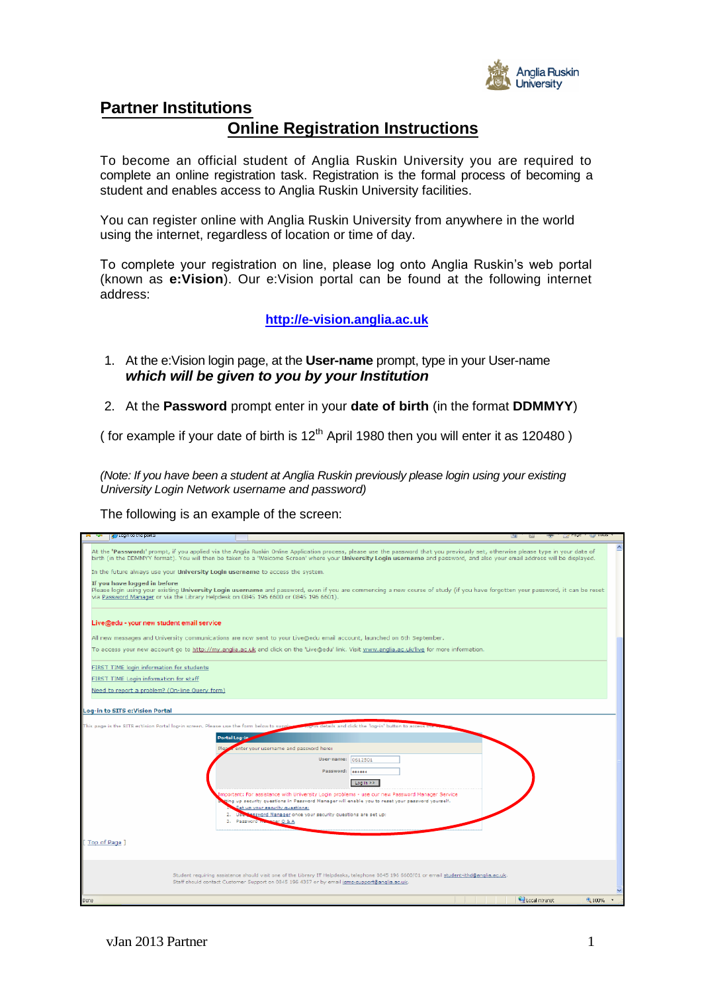

## **Partner Institutions**

# **Online Registration Instructions**

To become an official student of Anglia Ruskin University you are required to complete an online registration task. Registration is the formal process of becoming a student and enables access to Anglia Ruskin University facilities.

You can register online with Anglia Ruskin University from anywhere in the world using the internet, regardless of location or time of day.

To complete your registration on line, please log onto Anglia Ruskin's web portal (known as **e:Vision**). Our e:Vision portal can be found at the following internet address:

#### **[http://e-vision.anglia.ac.uk](http://e-vision.anglia.ac.uk/)**

- 1. At the e:Vision login page, at the **User-name** prompt, type in your User-name *which will be given to you by your Institution*
- 2. At the **Password** prompt enter in your **date of birth** (in the format **DDMMYY**)

( for example if your date of birth is  $12<sup>th</sup>$  April 1980 then you will enter it as 120480)

*(Note: If you have been a student at Anglia Ruskin previously please login using your existing University Login Network username and password)*

The following is an example of the screen:

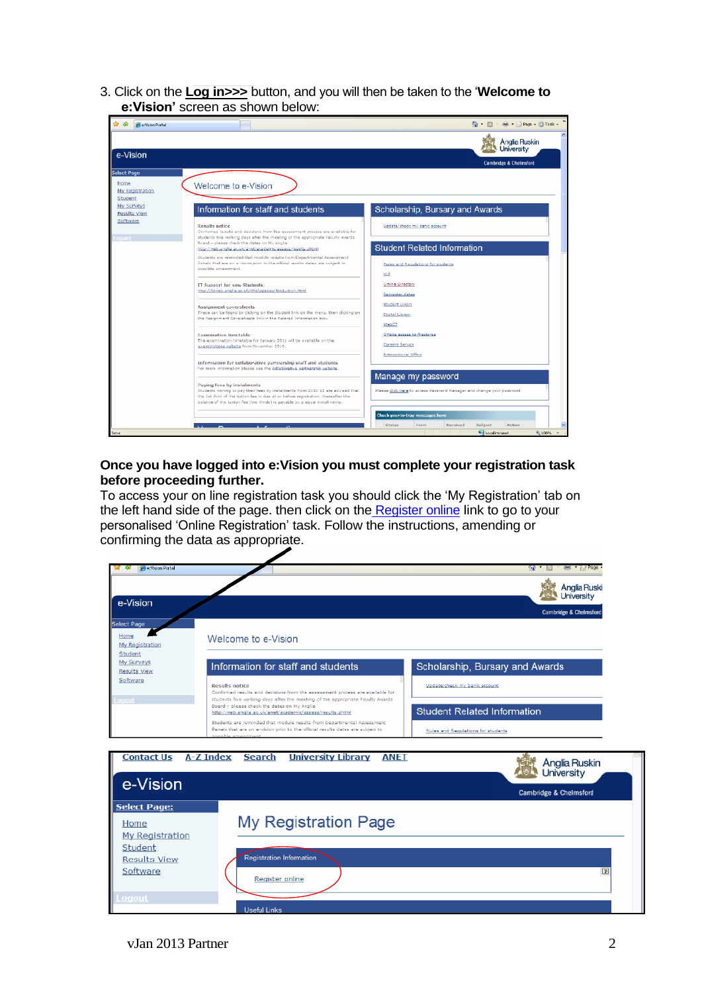3. Click on the **Log in>>>** button, and you will then be taken to the '**Welcome to e:Vision'** screen as shown below:

| <b>Per Vision Portal</b>                  |                                                                                                                                                                                                                                                                                                                                                                                                                                                                                                                                                                              | ● 图 ● Brags ● DTools -                                                                     |
|-------------------------------------------|------------------------------------------------------------------------------------------------------------------------------------------------------------------------------------------------------------------------------------------------------------------------------------------------------------------------------------------------------------------------------------------------------------------------------------------------------------------------------------------------------------------------------------------------------------------------------|--------------------------------------------------------------------------------------------|
|                                           |                                                                                                                                                                                                                                                                                                                                                                                                                                                                                                                                                                              | Anglia Ruskin<br>hiversity                                                                 |
| e-Vision                                  |                                                                                                                                                                                                                                                                                                                                                                                                                                                                                                                                                                              | Cambridge & Chelmsford                                                                     |
| Select Page                               |                                                                                                                                                                                                                                                                                                                                                                                                                                                                                                                                                                              |                                                                                            |
| Home<br>My Registration<br><b>Student</b> | Welcome to e-Vision                                                                                                                                                                                                                                                                                                                                                                                                                                                                                                                                                          |                                                                                            |
| My Surveys<br>Results View                | Information for staff and students                                                                                                                                                                                                                                                                                                                                                                                                                                                                                                                                           | Scholarship, Bursary and Awards                                                            |
| Software<br>Logout                        | Results notice<br>Confirmed results and decisions from the assessment process are available for<br>students five working days after the meeting of the appropriate Faculty Awards<br>Board - please check the dates on My Anglia<br>http://web.anglia.ac.uk/anet/academic/assess/results.phtml<br>Students are reminded that module results from Departmental Assessment<br>Panels that are on ervision prior to the official results dates are subject to<br>possible amendment.<br>IT Support for new Students:<br>http://libweb.anglia.ac.uk/ithelppages/itinduction.html | Update/check my bank account                                                               |
|                                           |                                                                                                                                                                                                                                                                                                                                                                                                                                                                                                                                                                              | <b>Student Related Information</b>                                                         |
|                                           |                                                                                                                                                                                                                                                                                                                                                                                                                                                                                                                                                                              | Rules and Regulations for students<br><b>VLE</b>                                           |
|                                           |                                                                                                                                                                                                                                                                                                                                                                                                                                                                                                                                                                              | Online Directory<br>Semester dates<br>Student Union<br>Digital Library<br>WebCT            |
|                                           | Assignment coversheets<br>These can be found by clicking on the Student link on the menu, then clicking on<br>the Assignment Coversheets link in the Related Information box.                                                                                                                                                                                                                                                                                                                                                                                                |                                                                                            |
|                                           | <b>Examination timetable</b><br>The examination timetable for January 2011 will be available on the<br>gxaminations website from November 2010.                                                                                                                                                                                                                                                                                                                                                                                                                              | Offsite access to filestores<br>Careers Service                                            |
|                                           | Information for collaborative partnership staff and students<br>For more information please see the collaborative partnership website,                                                                                                                                                                                                                                                                                                                                                                                                                                       | International Office                                                                       |
|                                           | Paving fees by instalments<br>Students wishing to pay their fees by instalments from 2010-11 are advised that<br>the 1st third of the tuition fee is due at or before registration, thereafter the<br>balance of the tuition fee (two thirds) is payable by 2 equal instalments.                                                                                                                                                                                                                                                                                             | Manage my password<br>Please dick here to access Password Manager and change your password |
|                                           |                                                                                                                                                                                                                                                                                                                                                                                                                                                                                                                                                                              | Check your in-tray messages here                                                           |
| Done                                      |                                                                                                                                                                                                                                                                                                                                                                                                                                                                                                                                                                              | <b>Status</b><br>From<br>Received<br>Subject<br>Action<br>Local intranet<br>电 100% ·       |

#### **Once you have logged into e:Vision you must complete your registration task before proceeding further.**

To access your on line registration task you should click the 'My Registration' tab on the left hand side of the page. then click on the Register online link to go to your personalised 'Online Registration' task. Follow the instructions, amending or confirming the data as appropriate.

| <b>Pour Portal</b>                                                                                   |                                                                                                                                                                                                                                                                                                                                                                                                                                                                                                         | Тñ.                                                                                                                                         |
|------------------------------------------------------------------------------------------------------|---------------------------------------------------------------------------------------------------------------------------------------------------------------------------------------------------------------------------------------------------------------------------------------------------------------------------------------------------------------------------------------------------------------------------------------------------------------------------------------------------------|---------------------------------------------------------------------------------------------------------------------------------------------|
| e-Vision                                                                                             |                                                                                                                                                                                                                                                                                                                                                                                                                                                                                                         | Anglia Ruski<br>University                                                                                                                  |
| Select Page<br>Home<br>My Registration<br>Student<br>My Surveys<br>Results View<br>Software<br>ogout | Welcome to e-Vision                                                                                                                                                                                                                                                                                                                                                                                                                                                                                     | <b>Cambridge &amp; Chelmsford</b>                                                                                                           |
|                                                                                                      | Information for staff and students<br><b>Results notice</b><br>Confirmed results and decisions from the assessment process are available for<br>students five working days after the meeting of the appropriate Faculty Awards<br>Board - please check the dates on My Anglia<br>http://web.anglia.ac.uk/anet/academic/assess/results.phtml<br>Students are reminded that module results from Departmental Assessment<br>Panels that are on envision prior to the official results dates are subject to | Scholarship, Bursary and Awards<br>Update/check my bank account<br><b>Student Related Information</b><br>Rules and Regulations for students |
| <b>Contact Us</b><br>e-Vision                                                                        | <b>University Library</b><br>A-Z Index<br><b>ANET</b><br><b>Search</b>                                                                                                                                                                                                                                                                                                                                                                                                                                  | Anglia Ruskin<br>University<br><b>Cambridge &amp; Chelmsford</b>                                                                            |
| <b>Select Page:</b><br>Home<br><b>My Registration</b><br>Student<br><b>Results View</b><br>Software  | My Registration Page<br><b>Registration Information</b><br>Register online                                                                                                                                                                                                                                                                                                                                                                                                                              | $\boxed{2}$                                                                                                                                 |
| Logout                                                                                               |                                                                                                                                                                                                                                                                                                                                                                                                                                                                                                         |                                                                                                                                             |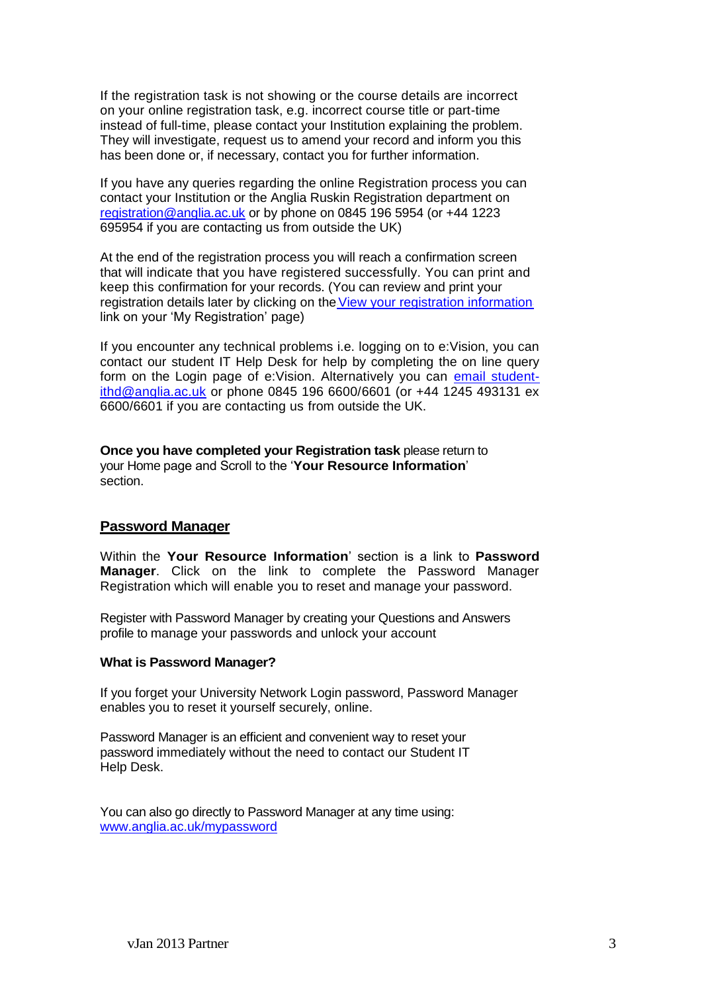If the registration task is not showing or the course details are incorrect on your online registration task, e.g. incorrect course title or part-time instead of full-time, please contact your Institution explaining the problem. They will investigate, request us to amend your record and inform you this has been done or, if necessary, contact you for further information.

If you have any queries regarding the online Registration process you can contact your Institution or the Anglia Ruskin Registration department on [registration@anglia.ac.uk](mailto:registration@anglia.ac.uk) or by phone on 0845 196 5954 (or +44 1223 695954 if you are contacting us from outside the UK)

At the end of the registration process you will reach a confirmation screen that will indicate that you have registered successfully. You can print and keep this confirmation for your records. (You can review and print your registration details later by clicking on the View your registration information link on your 'My Registration' page)

If you encounter any technical problems i.e. logging on to e:Vision, you can contact our student IT Help Desk for help by completing the on line query form on the Login page of e:Vision. Alternatively you can [email student](mailto:email_student-ithd@anglia.ac.uk)[ithd@anglia.ac.uk](mailto:email_student-ithd@anglia.ac.uk) or phone 0845 196 6600/6601 (or +44 1245 493131 ex 6600/6601 if you are contacting us from outside the UK.

**Once you have completed your Registration task** please return to your Home page and Scroll to the '**Your Resource Information**' section.

### **Password Manager**

Within the **Your Resource Information**' section is a link to **Password Manager**. Click on the link to complete the Password Manager Registration which will enable you to reset and manage your password.

Register with Password Manager by creating your Questions and Answers profile to manage your passwords and unlock your account

#### **What is Password Manager?**

If you forget your University Network Login password, Password Manager enables you to reset it yourself securely, online.

Password Manager is an efficient and convenient way to reset your password immediately without the need to contact our Student IT Help Desk.

You can also go directly to Password Manager at any time using: [www.anglia.ac.uk/mypassword](http://www.anglia.ac.uk/mypassword)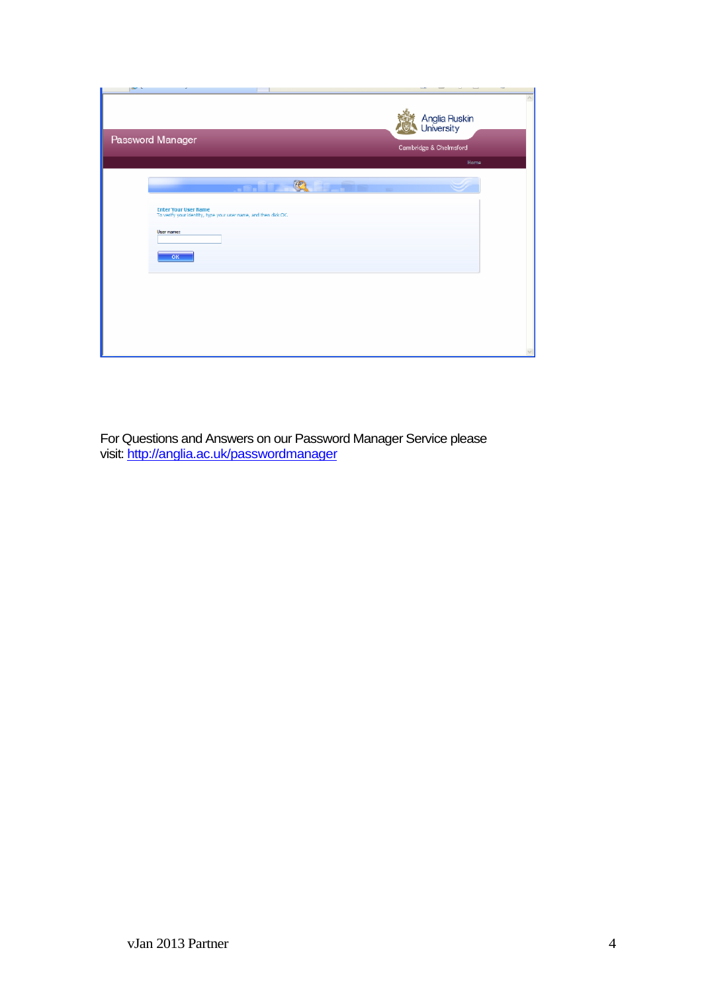| Password Manager                                                                                | Anglia Ruskin<br>University<br>Cambridge & Chelmsford<br>Home |
|-------------------------------------------------------------------------------------------------|---------------------------------------------------------------|
| O                                                                                               | -                                                             |
| <b>Enter Your User Name</b><br>To verify your identity, type your user name, and then click OK. |                                                               |
| User name:<br>OK                                                                                |                                                               |
|                                                                                                 |                                                               |
|                                                                                                 |                                                               |
|                                                                                                 |                                                               |

For Questions and Answers on our Password Manager Service please visit: <u>http://anglia.ac.uk/passwordmanager</u>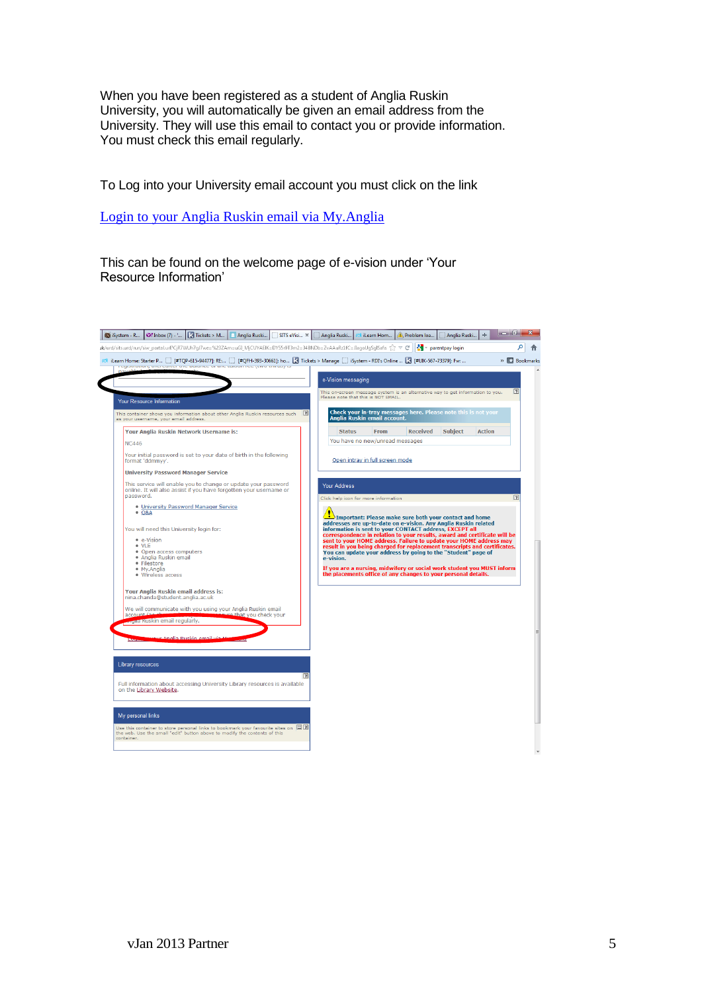When you have been registered as a student of Anglia Ruskin University, you will automatically be given an email address from the University. They will use this email to contact you or provide information. You must check this email regularly.

To Log into your University email account you must click on the link

[Login to your Anglia Ruskin email via My.Anglia](http://my.anglia.ac.uk/Pages/student.aspx)

This can be found on the welcome page of e-vision under 'Your Resource Information'